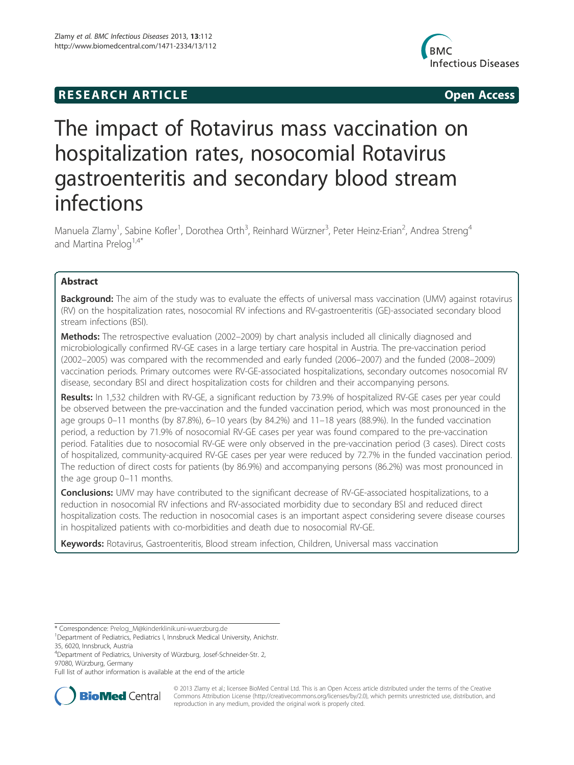# **RESEARCH ARTICLE Example 2014 12:30 The SEAR CHA RTICLE**



# The impact of Rotavirus mass vaccination on hospitalization rates, nosocomial Rotavirus gastroenteritis and secondary blood stream infections

Manuela Zlamy<sup>1</sup>, Sabine Kofler<sup>1</sup>, Dorothea Orth<sup>3</sup>, Reinhard Würzner<sup>3</sup>, Peter Heinz-Erian<sup>2</sup>, Andrea Streng<sup>4</sup> and Martina Prelog<sup>1,4\*</sup>

# Abstract

Background: The aim of the study was to evaluate the effects of universal mass vaccination (UMV) against rotavirus (RV) on the hospitalization rates, nosocomial RV infections and RV-gastroenteritis (GE)-associated secondary blood stream infections (BSI).

**Methods:** The retrospective evaluation (2002–2009) by chart analysis included all clinically diagnosed and microbiologically confirmed RV-GE cases in a large tertiary care hospital in Austria. The pre-vaccination period (2002–2005) was compared with the recommended and early funded (2006–2007) and the funded (2008–2009) vaccination periods. Primary outcomes were RV-GE-associated hospitalizations, secondary outcomes nosocomial RV disease, secondary BSI and direct hospitalization costs for children and their accompanying persons.

Results: In 1,532 children with RV-GE, a significant reduction by 73.9% of hospitalized RV-GE cases per year could be observed between the pre-vaccination and the funded vaccination period, which was most pronounced in the age groups 0–11 months (by 87.8%), 6–10 years (by 84.2%) and 11–18 years (88.9%). In the funded vaccination period, a reduction by 71.9% of nosocomial RV-GE cases per year was found compared to the pre-vaccination period. Fatalities due to nosocomial RV-GE were only observed in the pre-vaccination period (3 cases). Direct costs of hospitalized, community-acquired RV-GE cases per year were reduced by 72.7% in the funded vaccination period. The reduction of direct costs for patients (by 86.9%) and accompanying persons (86.2%) was most pronounced in the age group 0–11 months.

**Conclusions:** UMV may have contributed to the significant decrease of RV-GE-associated hospitalizations, to a reduction in nosocomial RV infections and RV-associated morbidity due to secondary BSI and reduced direct hospitalization costs. The reduction in nosocomial cases is an important aspect considering severe disease courses in hospitalized patients with co-morbidities and death due to nosocomial RV-GE.

Keywords: Rotavirus, Gastroenteritis, Blood stream infection, Children, Universal mass vaccination

Full list of author information is available at the end of the article



© 2013 Zlamy et al.; licensee BioMed Central Ltd. This is an Open Access article distributed under the terms of the Creative Commons Attribution License (http://creativecommons.org/licenses/by/2.0), which permits unrestricted use, distribution, and reproduction in any medium, provided the original work is properly cited.

<sup>\*</sup> Correspondence: Prelog\_M@kinderklinik.uni-wuerzburg.de <sup>1</sup>

<sup>&</sup>lt;sup>1</sup>Department of Pediatrics, Pediatrics I, Innsbruck Medical University, Anichstr. 35, 6020, Innsbruck, Austria

<sup>4</sup> Department of Pediatrics, University of Würzburg, Josef-Schneider-Str. 2, 97080, Würzburg, Germany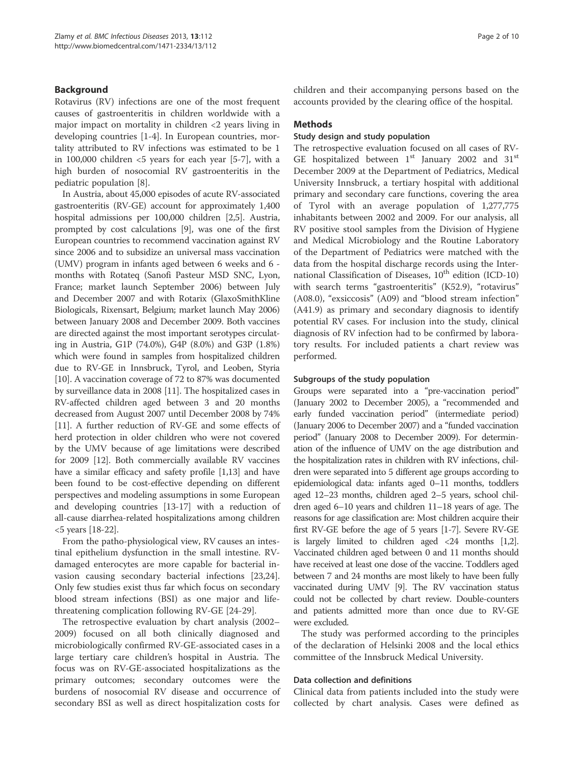# Background

Rotavirus (RV) infections are one of the most frequent causes of gastroenteritis in children worldwide with a major impact on mortality in children <2 years living in developing countries [1-4]. In European countries, mortality attributed to RV infections was estimated to be 1 in 100,000 children  $\langle 5 \rangle$  years for each year [5-7], with a high burden of nosocomial RV gastroenteritis in the pediatric population [8].

In Austria, about 45,000 episodes of acute RV-associated gastroenteritis (RV-GE) account for approximately 1,400 hospital admissions per 100,000 children [2,5]. Austria, prompted by cost calculations [9], was one of the first European countries to recommend vaccination against RV since 2006 and to subsidize an universal mass vaccination (UMV) program in infants aged between 6 weeks and 6 months with Rotateq (Sanofi Pasteur MSD SNC, Lyon, France; market launch September 2006) between July and December 2007 and with Rotarix (GlaxoSmithKline Biologicals, Rixensart, Belgium; market launch May 2006) between January 2008 and December 2009. Both vaccines are directed against the most important serotypes circulating in Austria, G1P (74.0%), G4P (8.0%) and G3P (1.8%) which were found in samples from hospitalized children due to RV-GE in Innsbruck, Tyrol, and Leoben, Styria [10]. A vaccination coverage of 72 to 87% was documented by surveillance data in 2008 [11]. The hospitalized cases in RV-affected children aged between 3 and 20 months decreased from August 2007 until December 2008 by 74% [11]. A further reduction of RV-GE and some effects of herd protection in older children who were not covered by the UMV because of age limitations were described for 2009 [12]. Both commercially available RV vaccines have a similar efficacy and safety profile [1,13] and have been found to be cost-effective depending on different perspectives and modeling assumptions in some European and developing countries [13-17] with a reduction of all-cause diarrhea-related hospitalizations among children <5 years [18-22].

From the patho-physiological view, RV causes an intestinal epithelium dysfunction in the small intestine. RVdamaged enterocytes are more capable for bacterial invasion causing secondary bacterial infections [23,24]. Only few studies exist thus far which focus on secondary blood stream infections (BSI) as one major and lifethreatening complication following RV-GE [24-29].

The retrospective evaluation by chart analysis (2002– 2009) focused on all both clinically diagnosed and microbiologically confirmed RV-GE-associated cases in a large tertiary care children's hospital in Austria. The focus was on RV-GE-associated hospitalizations as the primary outcomes; secondary outcomes were the burdens of nosocomial RV disease and occurrence of secondary BSI as well as direct hospitalization costs for children and their accompanying persons based on the accounts provided by the clearing office of the hospital.

### **Methods**

#### Study design and study population

The retrospective evaluation focused on all cases of RV-GE hospitalized between  $1<sup>st</sup>$  January 2002 and 31 $<sup>st</sup>$ </sup> December 2009 at the Department of Pediatrics, Medical University Innsbruck, a tertiary hospital with additional primary and secondary care functions, covering the area of Tyrol with an average population of 1,277,775 inhabitants between 2002 and 2009. For our analysis, all RV positive stool samples from the Division of Hygiene and Medical Microbiology and the Routine Laboratory of the Department of Pediatrics were matched with the data from the hospital discharge records using the International Classification of Diseases,  $10^{th}$  edition (ICD-10) with search terms "gastroenteritis" (K52.9), "rotavirus" (A08.0), "exsiccosis" (A09) and "blood stream infection" (A41.9) as primary and secondary diagnosis to identify potential RV cases. For inclusion into the study, clinical diagnosis of RV infection had to be confirmed by laboratory results. For included patients a chart review was performed.

#### Subgroups of the study population

Groups were separated into a "pre-vaccination period" (January 2002 to December 2005), a "recommended and early funded vaccination period" (intermediate period) (January 2006 to December 2007) and a "funded vaccination period" (January 2008 to December 2009). For determination of the influence of UMV on the age distribution and the hospitalization rates in children with RV infections, children were separated into 5 different age groups according to epidemiological data: infants aged 0–11 months, toddlers aged 12–23 months, children aged 2–5 years, school children aged 6–10 years and children 11–18 years of age. The reasons for age classification are: Most children acquire their first RV-GE before the age of 5 years [1-7]. Severe RV-GE is largely limited to children aged  $\langle 24 \rangle$  months [1,2]. Vaccinated children aged between 0 and 11 months should have received at least one dose of the vaccine. Toddlers aged between 7 and 24 months are most likely to have been fully vaccinated during UMV [9]. The RV vaccination status could not be collected by chart review. Double-counters and patients admitted more than once due to RV-GE were excluded.

The study was performed according to the principles of the declaration of Helsinki 2008 and the local ethics committee of the Innsbruck Medical University.

#### Data collection and definitions

Clinical data from patients included into the study were collected by chart analysis. Cases were defined as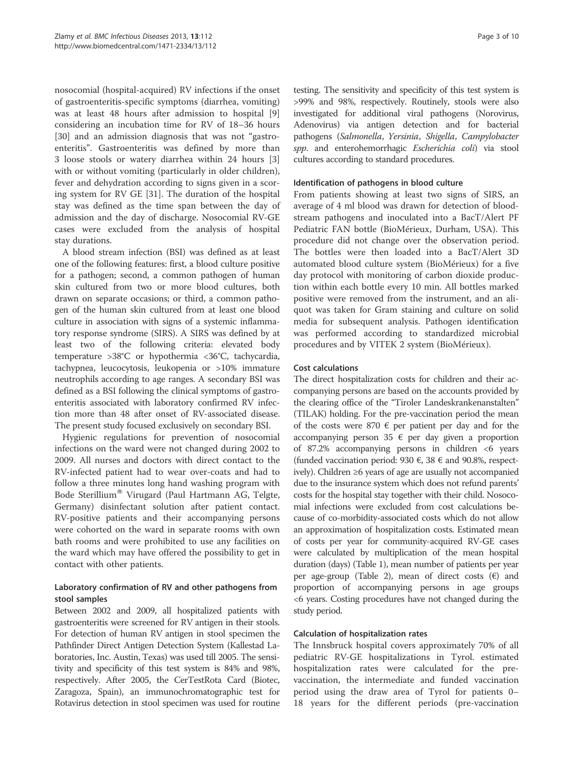nosocomial (hospital-acquired) RV infections if the onset of gastroenteritis-specific symptoms (diarrhea, vomiting) was at least 48 hours after admission to hospital [9] considering an incubation time for RV of 18–36 hours [30] and an admission diagnosis that was not "gastroenteritis". Gastroenteritis was defined by more than 3 loose stools or watery diarrhea within 24 hours [3] with or without vomiting (particularly in older children), fever and dehydration according to signs given in a scoring system for RV GE [31]. The duration of the hospital stay was defined as the time span between the day of admission and the day of discharge. Nosocomial RV-GE cases were excluded from the analysis of hospital stay durations.

A blood stream infection (BSI) was defined as at least one of the following features: first, a blood culture positive for a pathogen; second, a common pathogen of human skin cultured from two or more blood cultures, both drawn on separate occasions; or third, a common pathogen of the human skin cultured from at least one blood culture in association with signs of a systemic inflammatory response syndrome (SIRS). A SIRS was defined by at least two of the following criteria: elevated body temperature >38°C or hypothermia <36°C, tachycardia, tachypnea, leucocytosis, leukopenia or >10% immature neutrophils according to age ranges. A secondary BSI was defined as a BSI following the clinical symptoms of gastroenteritis associated with laboratory confirmed RV infection more than 48 after onset of RV-associated disease. The present study focused exclusively on secondary BSI.

Hygienic regulations for prevention of nosocomial infections on the ward were not changed during 2002 to 2009. All nurses and doctors with direct contact to the RV-infected patient had to wear over-coats and had to follow a three minutes long hand washing program with Bode Sterillium<sup>®</sup> Virugard (Paul Hartmann AG, Telgte, Germany) disinfectant solution after patient contact. RV-positive patients and their accompanying persons were cohorted on the ward in separate rooms with own bath rooms and were prohibited to use any facilities on the ward which may have offered the possibility to get in contact with other patients.

# Laboratory confirmation of RV and other pathogens from stool samples

Between 2002 and 2009, all hospitalized patients with gastroenteritis were screened for RV antigen in their stools. For detection of human RV antigen in stool specimen the Pathfinder Direct Antigen Detection System (Kallestad Laboratories, Inc. Austin, Texas) was used till 2005. The sensitivity and specificity of this test system is 84% and 98%, respectively. After 2005, the CerTestRota Card (Biotec, Zaragoza, Spain), an immunochromatographic test for Rotavirus detection in stool specimen was used for routine

testing. The sensitivity and specificity of this test system is >99% and 98%, respectively. Routinely, stools were also investigated for additional viral pathogens (Norovirus, Adenovirus) via antigen detection and for bacterial pathogens (Salmonella, Yersinia, Shigella, Campylobacter spp. and enterohemorrhagic Escherichia coli) via stool cultures according to standard procedures.

### Identification of pathogens in blood culture

From patients showing at least two signs of SIRS, an average of 4 ml blood was drawn for detection of bloodstream pathogens and inoculated into a BacT/Alert PF Pediatric FAN bottle (BioMérieux, Durham, USA). This procedure did not change over the observation period. The bottles were then loaded into a BacT/Alert 3D automated blood culture system (BioMérieux) for a five day protocol with monitoring of carbon dioxide production within each bottle every 10 min. All bottles marked positive were removed from the instrument, and an aliquot was taken for Gram staining and culture on solid media for subsequent analysis. Pathogen identification was performed according to standardized microbial procedures and by VITEK 2 system (BioMérieux).

# Cost calculations

The direct hospitalization costs for children and their accompanying persons are based on the accounts provided by the clearing office of the "Tiroler Landeskrankenanstalten" (TILAK) holding. For the pre-vaccination period the mean of the costs were 870  $\epsilon$  per patient per day and for the accompanying person 35  $\epsilon$  per day given a proportion of 87.2% accompanying persons in children <6 years (funded vaccination period: 930  $\epsilon$ , 38  $\epsilon$  and 90.8%, respectively). Children ≥6 years of age are usually not accompanied due to the insurance system which does not refund parents' costs for the hospital stay together with their child. Nosocomial infections were excluded from cost calculations because of co-morbidity-associated costs which do not allow an approximation of hospitalization costs. Estimated mean of costs per year for community-acquired RV-GE cases were calculated by multiplication of the mean hospital duration (days) (Table 1), mean number of patients per year per age-group (Table 2), mean of direct costs  $(\epsilon)$  and proportion of accompanying persons in age groups <6 years. Costing procedures have not changed during the study period.

# Calculation of hospitalization rates

The Innsbruck hospital covers approximately 70% of all pediatric RV-GE hospitalizations in Tyrol. estimated hospitalization rates were calculated for the prevaccination, the intermediate and funded vaccination period using the draw area of Tyrol for patients 0– 18 years for the different periods (pre-vaccination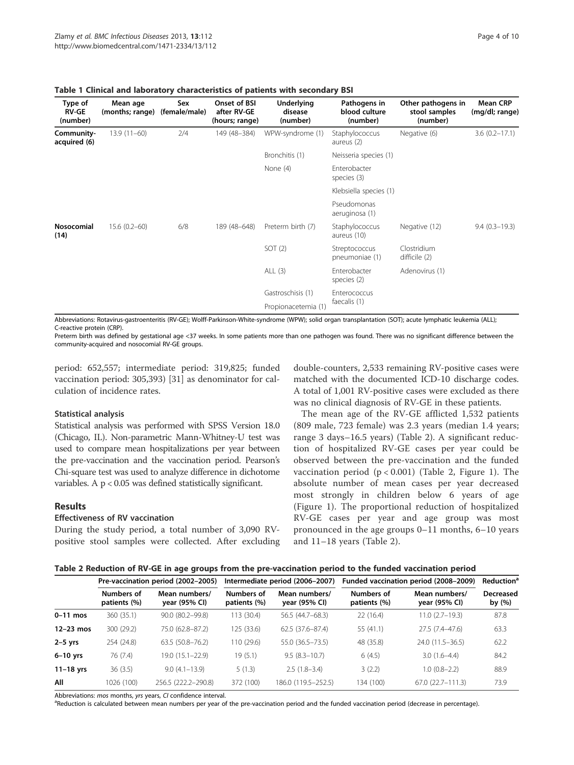| Type of<br><b>RV-GE</b><br>(number) | Mean age<br>(months; range) | Sex<br>(female/male) | Onset of BSI<br>after RV-GE<br>(hours; range) | <b>Underlying</b><br>disease<br>(number) | Pathogens in<br>blood culture<br>(number) | Other pathogens in<br>stool samples<br>(number) | <b>Mean CRP</b><br>(mg/dl; range) |
|-------------------------------------|-----------------------------|----------------------|-----------------------------------------------|------------------------------------------|-------------------------------------------|-------------------------------------------------|-----------------------------------|
| Community-<br>acquired (6)          | $13.9(11-60)$               | 2/4                  | 149 (48-384)                                  | WPW-syndrome (1)                         | Staphylococcus<br>aureus (2)              | Negative (6)                                    | $3.6(0.2 - 17.1)$                 |
|                                     |                             |                      |                                               | Bronchitis (1)                           | Neisseria species (1)                     |                                                 |                                   |
|                                     |                             |                      |                                               | None (4)                                 | Enterobacter<br>species (3)               |                                                 |                                   |
|                                     |                             |                      |                                               |                                          | Klebsiella species (1)                    |                                                 |                                   |
|                                     |                             |                      |                                               |                                          | Pseudomonas<br>aeruginosa (1)             |                                                 |                                   |
| <b>Nosocomial</b><br>(14)           | $15.6(0.2 - 60)$            | 6/8                  | 189 (48-648)                                  | Preterm birth (7)                        | Staphylococcus<br>aureus (10)             | Negative (12)                                   | $9.4(0.3-19.3)$                   |
|                                     |                             |                      |                                               | SOT(2)                                   | Streptococcus<br>pneumoniae (1)           | Clostridium<br>difficile (2)                    |                                   |
|                                     |                             |                      |                                               | ALL $(3)$                                | Enterobacter<br>species (2)               | Adenovirus (1)                                  |                                   |
|                                     |                             |                      |                                               | Gastroschisis (1)                        | Enterococcus                              |                                                 |                                   |
|                                     |                             |                      |                                               | Propionacetemia (1)                      | faecalis (1)                              |                                                 |                                   |

#### Table 1 Clinical and laboratory characteristics of patients with secondary BSI

Abbreviations: Rotavirus-gastroenteritis (RV-GE); Wolff-Parkinson-White-syndrome (WPW); solid organ transplantation (SOT); acute lymphatic leukemia (ALL); C-reactive protein (CRP).

Preterm birth was defined by gestational age <37 weeks. In some patients more than one pathogen was found. There was no significant difference between the community-acquired and nosocomial RV-GE groups.

period: 652,557; intermediate period: 319,825; funded vaccination period: 305,393) [31] as denominator for calculation of incidence rates.

#### Statistical analysis

Statistical analysis was performed with SPSS Version 18.0 (Chicago, IL). Non-parametric Mann-Whitney-U test was used to compare mean hospitalizations per year between the pre-vaccination and the vaccination period. Pearson's Chi-square test was used to analyze difference in dichotome variables. A  $p < 0.05$  was defined statistically significant.

#### Results

#### Effectiveness of RV vaccination

During the study period, a total number of 3,090 RVpositive stool samples were collected. After excluding

double-counters, 2,533 remaining RV-positive cases were matched with the documented ICD-10 discharge codes. A total of 1,001 RV-positive cases were excluded as there was no clinical diagnosis of RV-GE in these patients.

The mean age of the RV-GE afflicted 1,532 patients (809 male, 723 female) was 2.3 years (median 1.4 years; range 3 days–16.5 years) (Table 2). A significant reduction of hospitalized RV-GE cases per year could be observed between the pre-vaccination and the funded vaccination period  $(p < 0.001)$  (Table 2, Figure 1). The absolute number of mean cases per year decreased most strongly in children below 6 years of age (Figure 1). The proportional reduction of hospitalized RV-GE cases per year and age group was most pronounced in the age groups 0–11 months, 6–10 years and 11–18 years (Table 2).

|             |                            | Pre-vaccination period (2002-2005) |                            | Intermediate period (2006-2007) | Funded vaccination period (2008-2009) | <b>Reduction<sup>a</sup></b>   |                            |
|-------------|----------------------------|------------------------------------|----------------------------|---------------------------------|---------------------------------------|--------------------------------|----------------------------|
|             | Numbers of<br>patients (%) | Mean numbers/<br>year (95% CI)     | Numbers of<br>patients (%) | Mean numbers/<br>year (95% CI)  | Numbers of<br>patients (%)            | Mean numbers/<br>year (95% CI) | <b>Decreased</b><br>by (%) |
| $0-11$ mos  | 360 (35.1)                 | 90.0 (80.2-99.8)                   | 13(30.4)                   | 56.5 (44.7-68.3)                | 22(16.4)                              | $11.0(2.7-19.3)$               | 87.8                       |
| $12-23$ mos | 300 (29.2)                 | 75.0 (62.8-87.2)                   | 125 (33.6)                 | $62.5(37.6-87.4)$               | 55 (41.1)                             | $27.5(7.4-47.6)$               | 63.3                       |
| $2-5$ yrs   | 254 (24.8)                 | $63.5(50.8 - 76.2)$                | 110 (29.6)                 | 55.0 (36.5 - 73.5)              | 48 (35.8)                             | 24.0 (11.5 - 36.5)             | 62.2                       |
| $6-10$ yrs  | 76 (7.4)                   | 19.0 (15.1–22.9)                   | 19(5.1)                    | $9.5(8.3 - 10.7)$               | 6(4.5)                                | $3.0(1.6-4.4)$                 | 84.2                       |
| $11-18$ yrs | 36(3.5)                    | $9.0(4.1 - 13.9)$                  | 5(1.3)                     | $2.5(1.8-3.4)$                  | 3(2.2)                                | $1.0(0.8-2.2)$                 | 88.9                       |
| All         | 1026 (100)                 | 256.5 (222.2-290.8)                | 372 (100)                  | 186.0 (119.5 - 252.5)           | 134 (100)                             | $67.0(22.7 - 111.3)$           | 73.9                       |

Abbreviations: mos months, yrs years, CI confidence interval.

<sup>a</sup>Reduction is calculated between mean numbers per year of the pre-vaccination period and the funded vaccination period (decrease in percentage).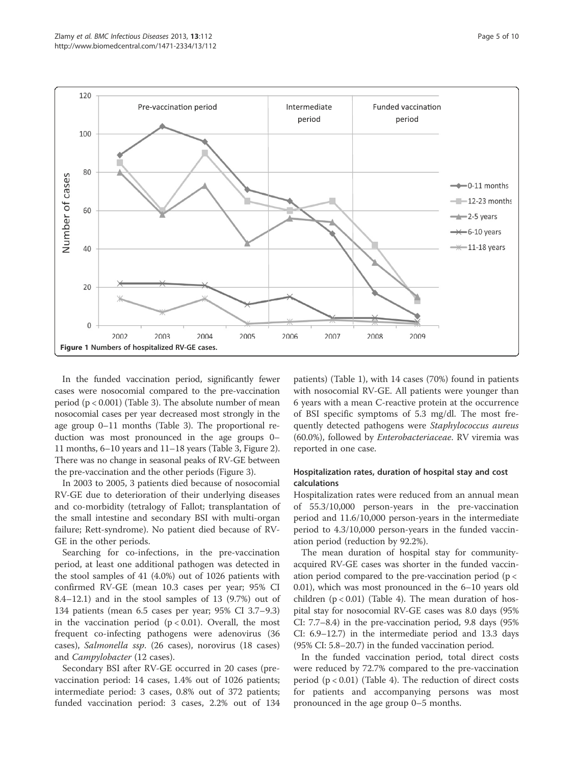

In the funded vaccination period, significantly fewer cases were nosocomial compared to the pre-vaccination period  $(p < 0.001)$  (Table 3). The absolute number of mean nosocomial cases per year decreased most strongly in the age group 0–11 months (Table 3). The proportional reduction was most pronounced in the age groups 0– 11 months, 6–10 years and 11–18 years (Table 3, Figure 2). There was no change in seasonal peaks of RV-GE between the pre-vaccination and the other periods (Figure 3).

In 2003 to 2005, 3 patients died because of nosocomial RV-GE due to deterioration of their underlying diseases and co-morbidity (tetralogy of Fallot; transplantation of the small intestine and secondary BSI with multi-organ failure; Rett-syndrome). No patient died because of RV-GE in the other periods.

Searching for co-infections, in the pre-vaccination period, at least one additional pathogen was detected in the stool samples of 41 (4.0%) out of 1026 patients with confirmed RV-GE (mean 10.3 cases per year; 95% CI 8.4–12.1) and in the stool samples of 13 (9.7%) out of 134 patients (mean 6.5 cases per year; 95% CI 3.7–9.3) in the vaccination period  $(p < 0.01)$ . Overall, the most frequent co-infecting pathogens were adenovirus (36 cases), Salmonella ssp. (26 cases), norovirus (18 cases) and Campylobacter (12 cases).

Secondary BSI after RV-GE occurred in 20 cases (prevaccination period: 14 cases, 1.4% out of 1026 patients; intermediate period: 3 cases, 0.8% out of 372 patients; funded vaccination period: 3 cases, 2.2% out of 134

patients) (Table 1), with 14 cases (70%) found in patients with nosocomial RV-GE. All patients were younger than 6 years with a mean C-reactive protein at the occurrence of BSI specific symptoms of 5.3 mg/dl. The most frequently detected pathogens were Staphylococcus aureus (60.0%), followed by Enterobacteriaceae. RV viremia was reported in one case.

# Hospitalization rates, duration of hospital stay and cost calculations

Hospitalization rates were reduced from an annual mean of 55.3/10,000 person-years in the pre-vaccination period and 11.6/10,000 person-years in the intermediate period to 4.3/10,000 person-years in the funded vaccination period (reduction by 92.2%).

The mean duration of hospital stay for communityacquired RV-GE cases was shorter in the funded vaccination period compared to the pre-vaccination period ( $p <$ 0.01), which was most pronounced in the 6–10 years old children  $(p < 0.01)$  (Table 4). The mean duration of hospital stay for nosocomial RV-GE cases was 8.0 days (95% CI: 7.7–8.4) in the pre-vaccination period, 9.8 days (95% CI: 6.9–12.7) in the intermediate period and 13.3 days (95% CI: 5.8–20.7) in the funded vaccination period.

In the funded vaccination period, total direct costs were reduced by 72.7% compared to the pre-vaccination period  $(p < 0.01)$  (Table 4). The reduction of direct costs for patients and accompanying persons was most pronounced in the age group 0–5 months.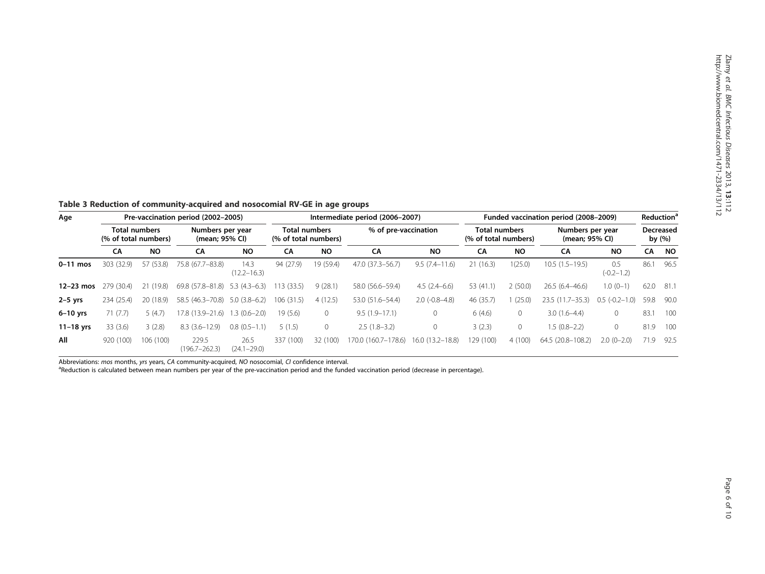Table 3 Reduction of community-acquired and nosocomial RV-GE in age groups

| Age         |                                              | Pre-vaccination period (2002-2005) |                                    |                         |                                              | Intermediate period (2006-2007) |                      |                   |                                       | Funded vaccination period (2008-2009) |                                    |                       | Reduction®                 |           |
|-------------|----------------------------------------------|------------------------------------|------------------------------------|-------------------------|----------------------------------------------|---------------------------------|----------------------|-------------------|---------------------------------------|---------------------------------------|------------------------------------|-----------------------|----------------------------|-----------|
|             | <b>Total numbers</b><br>(% of total numbers) |                                    | Numbers per year<br>(mean; 95% CI) |                         | <b>Total numbers</b><br>(% of total numbers) |                                 | % of pre-vaccination |                   | Total numbers<br>(% of total numbers) |                                       | Numbers per year<br>(mean; 95% CI) |                       | <b>Decreased</b><br>by (%) |           |
|             | CA                                           | <b>NO</b>                          | CA                                 | <b>NO</b>               | CA                                           | <b>NO</b>                       | CA                   | <b>NO</b>         | СA                                    | <b>NO</b>                             | СA                                 | <b>NO</b>             | CA                         | <b>NO</b> |
| $0-11$ mos  | 303 (32.9)                                   | 57 (53.8)                          | 75.8 (67.7-83.8)                   | 14.3<br>$(12.2 - 16.3)$ | 94 (27.9)                                    | 19 (59.4)                       | 47.0 (37.3-56.7)     | $9.5(7.4 - 11.6)$ | 21(16.3)                              | 1(25.0)                               | $10.5(1.5-19.5)$                   | 0.5<br>$(-0.2 - 1.2)$ | 86.1                       | 96.5      |
| $12-23$ mos | 279 (30.4)                                   | 21(19.8)                           | 69.8 (57.8–81.8)                   | $5.3(4.3-6.3)$          | 13(33.5)                                     | 9(28.1)                         | 58.0 (56.6-59.4)     | $4.5(2.4-6.6)$    | 53 (41.1)                             | 2(50.0)                               | $26.5(6.4 - 46.6)$                 | $1.0(0-1)$            | 62.0                       | 81.1      |
| $2-5$ yrs   | 234 (25.4)                                   | 20 (18.9)                          | 58.5 (46.3-70.8)                   | $5.0(3.8-6.2)$          | 106 (31.5)                                   | 4(12.5)                         | 53.0 (51.6-54.4)     | $2.0$ (-0.8-4.8)  | 46 (35.7)                             | (25.0)                                | $23.5(11.7-35.3)$                  | 0.5<br>$(-0.2 - 1.0)$ | 59.8                       | 90.0      |
| $6-10$ yrs  | 71(7.7)                                      | 5(4.7)                             | 17.8 (13.9–21.6)                   | $1.3(0.6-2.0)$          | 19(5.6)                                      | 0                               | $9.5(1.9-17.1)$      | 0                 | 6(4.6)                                | $\mathbf{0}$                          | $3.0(1.6-4.4)$                     | $\circ$               | 83.1                       | 100       |
| $11-18$ yrs | 33(3.6)                                      | 3(2.8)                             | $8.3(3.6 - 12.9)$                  | $0.8(0.5-1.1)$          | 5(1.5)                                       | 0                               | $2.5(1.8-3.2)$       | 0                 | 3(2.3)                                | $\mathbf{0}$                          | $1.5(0.8-2.2)$                     | $\mathbf{0}$          | 81.9                       | 100       |
| All         | 920 (100)                                    | 106 (100)                          | 229.5<br>$(196.7 - 262.3)$         | 26.5<br>$(24.1 - 29.0)$ | 337 (100)                                    | 32 (100)                        | 170.0 (160.7–178.6)  | 16.0 (13.2-18.8)  | 129 (100)                             | 4(100)                                | 64.5 (20.8-108.2)                  | $2.0(0-2.0)$          | 71.9                       | 92.5      |

Abbreviations: mos months, yrs years, CA community-acquired, NO nosocomial, CI confidence interval.

<sup>a</sup>Reduction is calculated between mean numbers per year of the pre-vaccination period and the funded vaccination period (decrease in percentage).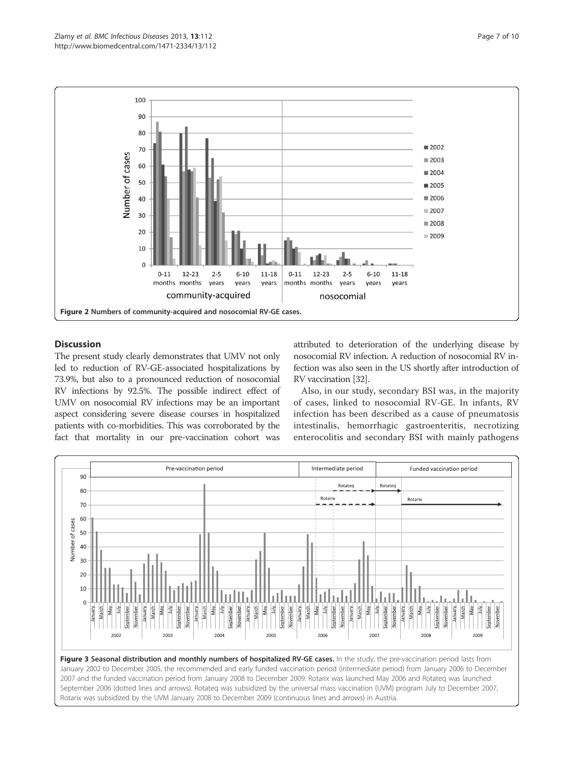

# **Discussion**

The present study clearly demonstrates that UMV not only led to reduction of RV-GE-associated hospitalizations by 73.9%, but also to a pronounced reduction of nosocomial RV infections by 92.5%. The possible indirect effect of UMV on nosocomial RV infections may be an important aspect considering severe disease courses in hospitalized patients with co-morbidities. This was corroborated by the fact that mortality in our pre-vaccination cohort was attributed to deterioration of the underlying disease by nosocomial RV infection. A reduction of nosocomial RV infection was also seen in the US shortly after introduction of RV vaccination [32].

Also, in our study, secondary BSI was, in the majority of cases, linked to nosocomial RV-GE. In infants, RV infection has been described as a cause of pneumatosis intestinalis, hemorrhagic gastroenteritis, necrotizing enterocolitis and secondary BSI with mainly pathogens

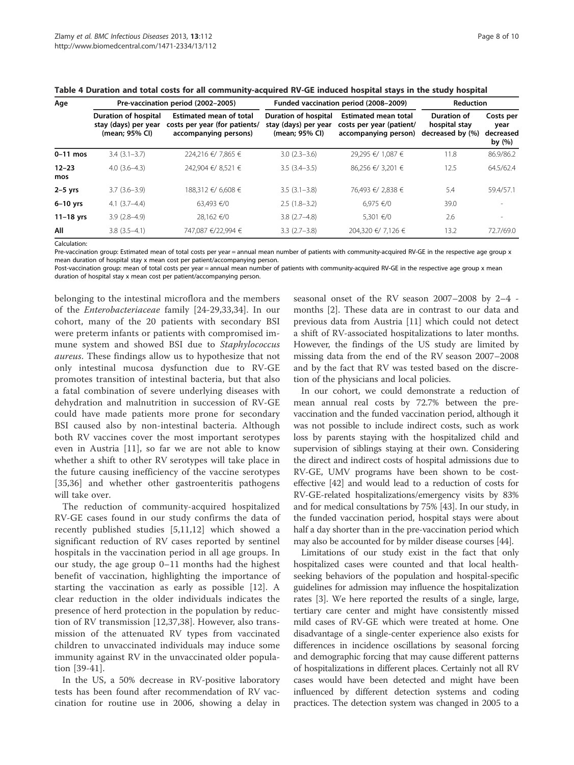| Table 4 Duration and total costs for all community-acquired KV-9E induced hospital stays in the study hospital |                                                                       |                                                                                          |                                                                |                                                                                 |                                                  |                                          |  |  |  |  |
|----------------------------------------------------------------------------------------------------------------|-----------------------------------------------------------------------|------------------------------------------------------------------------------------------|----------------------------------------------------------------|---------------------------------------------------------------------------------|--------------------------------------------------|------------------------------------------|--|--|--|--|
| Age                                                                                                            |                                                                       | Pre-vaccination period (2002-2005)                                                       |                                                                | Funded vaccination period (2008-2009)                                           | <b>Reduction</b>                                 |                                          |  |  |  |  |
|                                                                                                                | <b>Duration of hospital</b><br>stay (days) per year<br>(mean; 95% CI) | <b>Estimated mean of total</b><br>costs per year (for patients/<br>accompanying persons) | Duration of hospital<br>stay (days) per year<br>(mean; 95% CI) | <b>Estimated mean total</b><br>costs per year (patient/<br>accompanying person) | Duration of<br>hospital stay<br>decreased by (%) | Costs per<br>year<br>decreased<br>by (%) |  |  |  |  |
| 0-11 mos                                                                                                       | $3.4(3.1-3.7)$                                                        | 224,216 €/ 7,865 €                                                                       | $3.0(2.3-3.6)$                                                 | 29,295 €/ 1,087 €                                                               | 11.8                                             | 86.9/86.2                                |  |  |  |  |
| $12 - 23$<br>mos                                                                                               | $4.0(3.6-4.3)$                                                        | 242,904 €/ 8,521 €                                                                       | $3.5(3.4-3.5)$                                                 | 86,256 €/ 3,201 €                                                               | 12.5                                             | 64.5/62.4                                |  |  |  |  |
| $2-5$ yrs                                                                                                      | $3.7(3.6 - 3.9)$                                                      | 188,312 €/ 6,608 €                                                                       | $3.5(3.1 - 3.8)$                                               | 76,493 €/ 2,838 €                                                               | 5.4                                              | 59.4/57.1                                |  |  |  |  |

Table 4 Duration and total costs for all community-acquired RV-GE induced hospital stays in the study hospital

Calculation:

12–23 mos

Pre-vaccination group: Estimated mean of total costs per year = annual mean number of patients with community-acquired RV-GE in the respective age group x mean duration of hospital stay x mean cost per patient/accompanying person.

Post-vaccination group: mean of total costs per year = annual mean number of patients with community-acquired RV-GE in the respective age group x mean duration of hospital stay x mean cost per patient/accompanying person.

**6–10 yrs** 4.1 (3.7–4.4) 63,493 €/0 2.5 (1.8–3.2) 6,975 €/0 39.0 -**11–18 yrs** 3.9 (2.8–4.9) 28,162 €/0 3.8 (2.7–4.8) 5,301 €/0 2.6 -All 3.8 (3.5–4.1) 747,087 €/22,994 € 3.3 (2.7–3.8) 204,320 €/ 7,126 € 13.2 72.7/69.0

belonging to the intestinal microflora and the members of the Enterobacteriaceae family [24-29,33,34]. In our cohort, many of the 20 patients with secondary BSI were preterm infants or patients with compromised immune system and showed BSI due to Staphylococcus aureus. These findings allow us to hypothesize that not only intestinal mucosa dysfunction due to RV-GE promotes transition of intestinal bacteria, but that also a fatal combination of severe underlying diseases with dehydration and malnutrition in succession of RV-GE could have made patients more prone for secondary BSI caused also by non-intestinal bacteria. Although both RV vaccines cover the most important serotypes even in Austria [11], so far we are not able to know whether a shift to other RV serotypes will take place in the future causing inefficiency of the vaccine serotypes [35,36] and whether other gastroenteritis pathogens will take over.

The reduction of community-acquired hospitalized RV-GE cases found in our study confirms the data of recently published studies [5,11,12] which showed a significant reduction of RV cases reported by sentinel hospitals in the vaccination period in all age groups. In our study, the age group 0–11 months had the highest benefit of vaccination, highlighting the importance of starting the vaccination as early as possible [12]. A clear reduction in the older individuals indicates the presence of herd protection in the population by reduction of RV transmission [12,37,38]. However, also transmission of the attenuated RV types from vaccinated children to unvaccinated individuals may induce some immunity against RV in the unvaccinated older population [39-41].

In the US, a 50% decrease in RV-positive laboratory tests has been found after recommendation of RV vaccination for routine use in 2006, showing a delay in seasonal onset of the RV season 2007–2008 by 2–4 months [2]. These data are in contrast to our data and previous data from Austria [11] which could not detect a shift of RV-associated hospitalizations to later months. However, the findings of the US study are limited by missing data from the end of the RV season 2007–2008 and by the fact that RV was tested based on the discretion of the physicians and local policies.

In our cohort, we could demonstrate a reduction of mean annual real costs by 72.7% between the prevaccination and the funded vaccination period, although it was not possible to include indirect costs, such as work loss by parents staying with the hospitalized child and supervision of siblings staying at their own. Considering the direct and indirect costs of hospital admissions due to RV-GE, UMV programs have been shown to be costeffective [42] and would lead to a reduction of costs for RV-GE-related hospitalizations/emergency visits by 83% and for medical consultations by 75% [43]. In our study, in the funded vaccination period, hospital stays were about half a day shorter than in the pre-vaccination period which may also be accounted for by milder disease courses [44].

Limitations of our study exist in the fact that only hospitalized cases were counted and that local healthseeking behaviors of the population and hospital-specific guidelines for admission may influence the hospitalization rates [3]. We here reported the results of a single, large, tertiary care center and might have consistently missed mild cases of RV-GE which were treated at home. One disadvantage of a single-center experience also exists for differences in incidence oscillations by seasonal forcing and demographic forcing that may cause different patterns of hospitalizations in different places. Certainly not all RV cases would have been detected and might have been influenced by different detection systems and coding practices. The detection system was changed in 2005 to a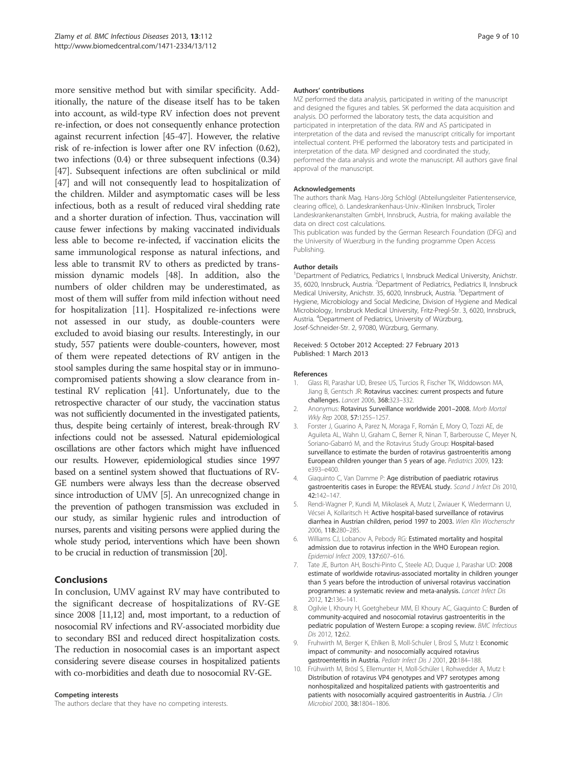more sensitive method but with similar specificity. Additionally, the nature of the disease itself has to be taken into account, as wild-type RV infection does not prevent re-infection, or does not consequently enhance protection against recurrent infection [45-47]. However, the relative risk of re-infection is lower after one RV infection (0.62), two infections (0.4) or three subsequent infections (0.34) [47]. Subsequent infections are often subclinical or mild [47] and will not consequently lead to hospitalization of the children. Milder and asymptomatic cases will be less infectious, both as a result of reduced viral shedding rate and a shorter duration of infection. Thus, vaccination will cause fewer infections by making vaccinated individuals less able to become re-infected, if vaccination elicits the same immunological response as natural infections, and less able to transmit RV to others as predicted by transmission dynamic models [48]. In addition, also the numbers of older children may be underestimated, as most of them will suffer from mild infection without need for hospitalization [11]. Hospitalized re-infections were not assessed in our study, as double-counters were excluded to avoid biasing our results. Interestingly, in our study, 557 patients were double-counters, however, most of them were repeated detections of RV antigen in the stool samples during the same hospital stay or in immunocompromised patients showing a slow clearance from intestinal RV replication [41]. Unfortunately, due to the retrospective character of our study, the vaccination status was not sufficiently documented in the investigated patients, thus, despite being certainly of interest, break-through RV infections could not be assessed. Natural epidemiological oscillations are other factors which might have influenced our results. However, epidemiological studies since 1997 based on a sentinel system showed that fluctuations of RV-GE numbers were always less than the decrease observed since introduction of UMV [5]. An unrecognized change in the prevention of pathogen transmission was excluded in our study, as similar hygienic rules and introduction of nurses, parents and visiting persons were applied during the whole study period, interventions which have been shown to be crucial in reduction of transmission [20].

# Conclusions

In conclusion, UMV against RV may have contributed to the significant decrease of hospitalizations of RV-GE since 2008 [11,12] and, most important, to a reduction of nosocomial RV infections and RV-associated morbidity due to secondary BSI and reduced direct hospitalization costs. The reduction in nosocomial cases is an important aspect considering severe disease courses in hospitalized patients with co-morbidities and death due to nosocomial RV-GE.

#### Competing interests

The authors declare that they have no competing interests.

#### Authors' contributions

MZ performed the data analysis, participated in writing of the manuscript and designed the figures and tables. SK performed the data acquisition and analysis. DO performed the laboratory tests, the data acquisition and participated in interpretation of the data. RW and AS participated in interpretation of the data and revised the manuscript critically for important intellectual content. PHE performed the laboratory tests and participated in interpretation of the data. MP designed and coordinated the study, performed the data analysis and wrote the manuscript. All authors gave final approval of the manuscript.

#### Acknowledgements

The authors thank Mag. Hans-Jörg Schlögl (Abteilungsleiter Patientenservice, clearing office), ö. Landeskrankenhaus-Univ.-Kliniken Innsbruck, Tiroler Landeskrankenanstalten GmbH, Innsbruck, Austria, for making available the data on direct cost calculations.

This publication was funded by the German Research Foundation (DFG) and the University of Wuerzburg in the funding programme Open Access Publishing.

#### Author details

<sup>1</sup>Department of Pediatrics, Pediatrics I, Innsbruck Medical University, Anichstr. 35, 6020, Innsbruck, Austria. <sup>2</sup>Department of Pediatrics, Pediatrics II, Innsbruck Medical University, Anichstr. 35, 6020, Innsbruck, Austria. <sup>3</sup>Department of Hygiene, Microbiology and Social Medicine, Division of Hygiene and Medical Microbiology, Innsbruck Medical University, Fritz-Pregl-Str. 3, 6020, Innsbruck, Austria. <sup>4</sup> Department of Pediatrics, University of Würzburg, Josef-Schneider-Str. 2, 97080, Würzburg, Germany.

#### Received: 5 October 2012 Accepted: 27 February 2013 Published: 1 March 2013

#### References

- 1. Glass RI, Parashar UD, Bresee US, Turcios R, Fischer TK, Widdowson MA, Jiang B, Gentsch JR: Rotavirus vaccines: current prospects and future challenges. Lancet 2006, 368:323–332.
- 2. Anonymus: Rotavirus Surveillance worldwide 2001–2008. Morb Mortal Wkly Rep 2008, 57:1255–1257.
- 3. Forster J, Guarino A, Parez N, Moraga F, Román E, Mory O, Tozzi AE, de Aguileta AL, Wahn U, Graham C, Berner R, Ninan T, Barberousse C, Meyer N, Soriano-Gabarró M, and the Rotavirus Study Group: Hospital-based surveillance to estimate the burden of rotavirus gastroenteritis among European children younger than 5 years of age. Pediatrics 2009, 123: e393–e400.
- 4. Giaquinto C, Van Damme P: Age distribution of paediatric rotavirus gastroenteritis cases in Europe: the REVEAL study. Scand J Infect Dis 2010, 42:142–147.
- 5. Rendi-Wagner P, Kundi M, Mikolasek A, Mutz I, Zwiauer K, Wiedermann U, Vécsei A, Kollaritsch H: Active hospital-based surveillance of rotavirus diarrhea in Austrian children, period 1997 to 2003. Wien Klin Wochenschr 2006, 118:280–285.
- 6. Williams CJ, Lobanov A, Pebody RG: Estimated mortality and hospital admission due to rotavirus infection in the WHO European region. Epidemiol Infect 2009, 137:607–616.
- 7. Tate JE, Burton AH, Boschi-Pinto C, Steele AD, Duque J, Parashar UD: 2008 estimate of worldwide rotavirus-associated mortality in children younger than 5 years before the introduction of universal rotavirus vaccination programmes: a systematic review and meta-analysis. Lancet Infect Dis 2012, 12:136–141.
- 8. Ogilvie I, Khoury H, Goetghebeur MM, El Khoury AC, Giaquinto C: Burden of community-acquired and nosocomial rotavirus gastroenteritis in the pediatric population of Western Europe: a scoping review. BMC Infectious Dis 2012, 12:62.
- 9. Fruhwirth M, Berger K, Ehlken B, Moll-Schuler I, Brosl S, Mutz I: Economic impact of community- and nosocomially acquired rotavirus gastroenteritis in Austria. Pediatr Infect Dis J 2001, 20:184-188.
- 10. Frühwirth M, Brösl S, Ellemunter H, Moll-Schüler I, Rohwedder A, Mutz I: Distribution of rotavirus VP4 genotypes and VP7 serotypes among nonhospitalized and hospitalized patients with gastroenteritis and patients with nosocomially acquired gastroenteritis in Austria. J Clin Microbiol 2000, 38:1804–1806.